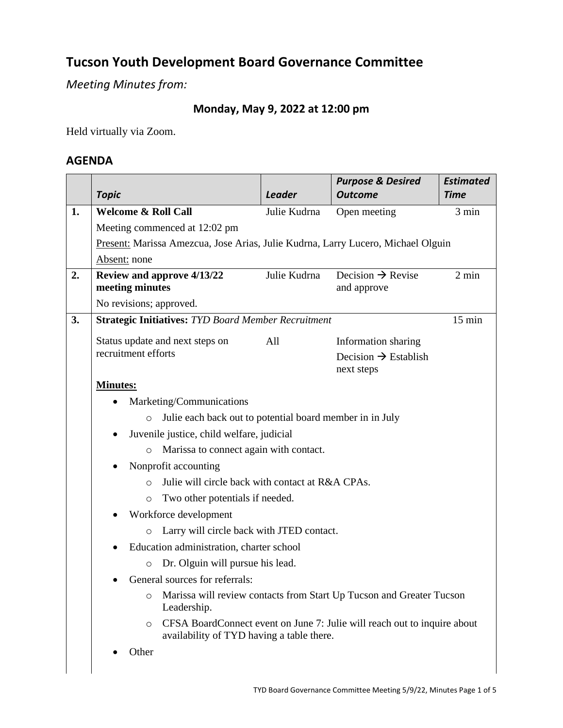# **Tucson Youth Development Board Governance Committee**

*Meeting Minutes from:*

## **Monday, May 9, 2022 at 12:00 pm**

Held virtually via Zoom.

## **AGENDA**

|    |                                                                                                                                                                                                                                                                                                               |               | <b>Purpose &amp; Desired</b>                   | <b>Estimated</b> |  |  |  |
|----|---------------------------------------------------------------------------------------------------------------------------------------------------------------------------------------------------------------------------------------------------------------------------------------------------------------|---------------|------------------------------------------------|------------------|--|--|--|
|    | <b>Topic</b>                                                                                                                                                                                                                                                                                                  | <b>Leader</b> | <b>Outcome</b>                                 | <b>Time</b>      |  |  |  |
| 1. | <b>Welcome &amp; Roll Call</b>                                                                                                                                                                                                                                                                                | Julie Kudrna  | Open meeting                                   | 3 min            |  |  |  |
|    | Meeting commenced at 12:02 pm                                                                                                                                                                                                                                                                                 |               |                                                |                  |  |  |  |
|    | Present: Marissa Amezcua, Jose Arias, Julie Kudrna, Larry Lucero, Michael Olguin                                                                                                                                                                                                                              |               |                                                |                  |  |  |  |
|    | Absent: none                                                                                                                                                                                                                                                                                                  |               |                                                |                  |  |  |  |
| 2. | Review and approve 4/13/22                                                                                                                                                                                                                                                                                    | Julie Kudrna  | Decision $\rightarrow$ Revise                  | 2 min            |  |  |  |
|    | meeting minutes                                                                                                                                                                                                                                                                                               |               | and approve                                    |                  |  |  |  |
| 3. | No revisions; approved.<br><b>Strategic Initiatives: TYD Board Member Recruitment</b>                                                                                                                                                                                                                         |               |                                                |                  |  |  |  |
|    |                                                                                                                                                                                                                                                                                                               |               | $15 \text{ min}$                               |                  |  |  |  |
|    | Status update and next steps on                                                                                                                                                                                                                                                                               | All           | Information sharing                            |                  |  |  |  |
|    | recruitment efforts                                                                                                                                                                                                                                                                                           |               | Decision $\rightarrow$ Establish<br>next steps |                  |  |  |  |
|    | <b>Minutes:</b>                                                                                                                                                                                                                                                                                               |               |                                                |                  |  |  |  |
|    | Marketing/Communications<br>Julie each back out to potential board member in in July<br>$\circ$<br>Juvenile justice, child welfare, judicial                                                                                                                                                                  |               |                                                |                  |  |  |  |
|    |                                                                                                                                                                                                                                                                                                               |               |                                                |                  |  |  |  |
|    |                                                                                                                                                                                                                                                                                                               |               |                                                |                  |  |  |  |
|    | Marissa to connect again with contact.<br>$\circ$                                                                                                                                                                                                                                                             |               |                                                |                  |  |  |  |
|    | Nonprofit accounting                                                                                                                                                                                                                                                                                          |               |                                                |                  |  |  |  |
|    | Julie will circle back with contact at R&A CPAs.<br>$\circ$                                                                                                                                                                                                                                                   |               |                                                |                  |  |  |  |
|    | Two other potentials if needed.<br>O<br>Workforce development                                                                                                                                                                                                                                                 |               |                                                |                  |  |  |  |
|    |                                                                                                                                                                                                                                                                                                               |               |                                                |                  |  |  |  |
|    | Larry will circle back with JTED contact.<br>$\circ$<br>Education administration, charter school                                                                                                                                                                                                              |               |                                                |                  |  |  |  |
|    |                                                                                                                                                                                                                                                                                                               |               |                                                |                  |  |  |  |
|    | Dr. Olguin will pursue his lead.<br>$\circ$<br>General sources for referrals:<br>Marissa will review contacts from Start Up Tucson and Greater Tucson<br>O<br>Leadership.<br>CFSA BoardConnect event on June 7: Julie will reach out to inquire about<br>$\circ$<br>availability of TYD having a table there. |               |                                                |                  |  |  |  |
|    |                                                                                                                                                                                                                                                                                                               |               |                                                |                  |  |  |  |
|    |                                                                                                                                                                                                                                                                                                               |               |                                                |                  |  |  |  |
|    |                                                                                                                                                                                                                                                                                                               |               |                                                |                  |  |  |  |
|    | Other                                                                                                                                                                                                                                                                                                         |               |                                                |                  |  |  |  |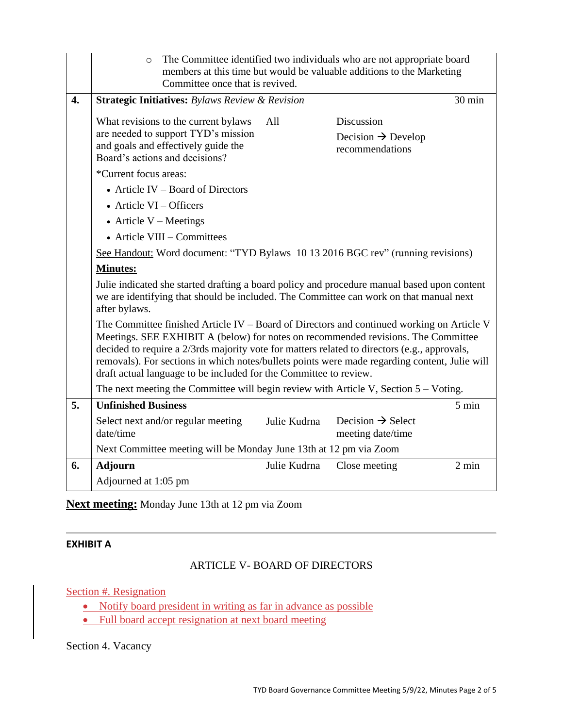|                  | The Committee identified two individuals who are not appropriate board<br>$\circ$<br>members at this time but would be valuable additions to the Marketing<br>Committee once that is revived.                                                                                                                                                                                                                                                        |              |                                                    |                 |  |  |  |
|------------------|------------------------------------------------------------------------------------------------------------------------------------------------------------------------------------------------------------------------------------------------------------------------------------------------------------------------------------------------------------------------------------------------------------------------------------------------------|--------------|----------------------------------------------------|-----------------|--|--|--|
| $\overline{4}$ . | <b>Strategic Initiatives:</b> Bylaws Review & Revision<br>30 min                                                                                                                                                                                                                                                                                                                                                                                     |              |                                                    |                 |  |  |  |
|                  | What revisions to the current bylaws                                                                                                                                                                                                                                                                                                                                                                                                                 | All          | Discussion                                         |                 |  |  |  |
|                  | are needed to support TYD's mission<br>and goals and effectively guide the<br>Board's actions and decisions?                                                                                                                                                                                                                                                                                                                                         |              | Decision $\rightarrow$ Develop<br>recommendations  |                 |  |  |  |
|                  |                                                                                                                                                                                                                                                                                                                                                                                                                                                      |              |                                                    |                 |  |  |  |
|                  | • Article IV – Board of Directors                                                                                                                                                                                                                                                                                                                                                                                                                    |              |                                                    |                 |  |  |  |
|                  | $\bullet$ Article VI – Officers                                                                                                                                                                                                                                                                                                                                                                                                                      |              |                                                    |                 |  |  |  |
|                  | • Article $V$ – Meetings                                                                                                                                                                                                                                                                                                                                                                                                                             |              |                                                    |                 |  |  |  |
|                  | • Article VIII – Committees                                                                                                                                                                                                                                                                                                                                                                                                                          |              |                                                    |                 |  |  |  |
|                  | See Handout: Word document: "TYD Bylaws 10 13 2016 BGC rev" (running revisions)                                                                                                                                                                                                                                                                                                                                                                      |              |                                                    |                 |  |  |  |
|                  | <b>Minutes:</b>                                                                                                                                                                                                                                                                                                                                                                                                                                      |              |                                                    |                 |  |  |  |
|                  | Julie indicated she started drafting a board policy and procedure manual based upon content<br>we are identifying that should be included. The Committee can work on that manual next<br>after bylaws.                                                                                                                                                                                                                                               |              |                                                    |                 |  |  |  |
|                  | The Committee finished Article IV - Board of Directors and continued working on Article V<br>Meetings. SEE EXHIBIT A (below) for notes on recommended revisions. The Committee<br>decided to require a 2/3rds majority vote for matters related to directors (e.g., approvals,<br>removals). For sections in which notes/bullets points were made regarding content, Julie will<br>draft actual language to be included for the Committee to review. |              |                                                    |                 |  |  |  |
|                  | The next meeting the Committee will begin review with Article V, Section $5 - \text{Voting}$ .                                                                                                                                                                                                                                                                                                                                                       |              |                                                    |                 |  |  |  |
| 5.               | <b>Unfinished Business</b>                                                                                                                                                                                                                                                                                                                                                                                                                           |              |                                                    | $5 \text{ min}$ |  |  |  |
|                  | Select next and/or regular meeting<br>date/time                                                                                                                                                                                                                                                                                                                                                                                                      | Julie Kudrna | Decision $\rightarrow$ Select<br>meeting date/time |                 |  |  |  |
|                  | Next Committee meeting will be Monday June 13th at 12 pm via Zoom                                                                                                                                                                                                                                                                                                                                                                                    |              |                                                    |                 |  |  |  |
| 6.               | <b>Adjourn</b>                                                                                                                                                                                                                                                                                                                                                                                                                                       | Julie Kudrna | Close meeting                                      | $2 \text{ min}$ |  |  |  |
|                  | Adjourned at 1:05 pm                                                                                                                                                                                                                                                                                                                                                                                                                                 |              |                                                    |                 |  |  |  |

**Next meeting:** Monday June 13th at 12 pm via Zoom

#### **EXHIBIT A**

### ARTICLE V- BOARD OF DIRECTORS

### Section #. Resignation

- Notify board president in writing as far in advance as possible
- Full board accept resignation at next board meeting

### Section 4. Vacancy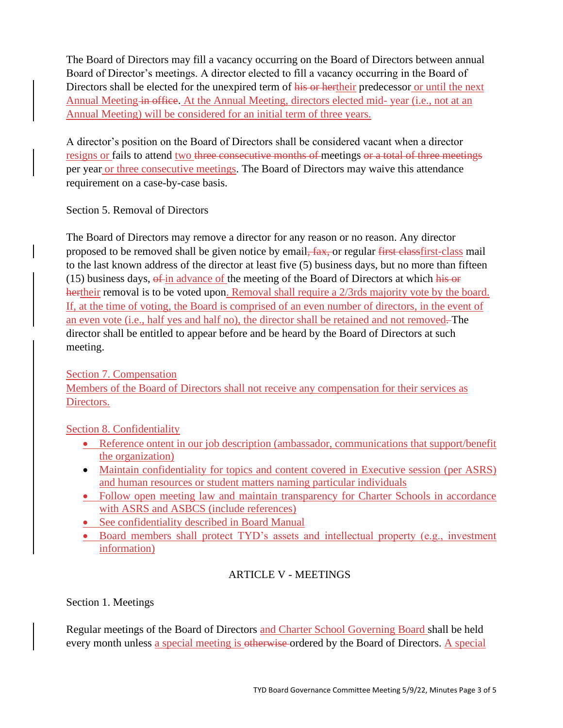The Board of Directors may fill a vacancy occurring on the Board of Directors between annual Board of Director's meetings. A director elected to fill a vacancy occurring in the Board of Directors shall be elected for the unexpired term of his or hertheir predecessor or until the next Annual Meeting in office. At the Annual Meeting, directors elected mid-year (i.e., not at an Annual Meeting) will be considered for an initial term of three years.

A director's position on the Board of Directors shall be considered vacant when a director resigns or fails to attend two three consecutive months of meetings or a total of three meetings per year or three consecutive meetings. The Board of Directors may waive this attendance requirement on a case-by-case basis.

Section 5. Removal of Directors

The Board of Directors may remove a director for any reason or no reason. Any director proposed to be removed shall be given notice by email, fax, or regular first classfirst-class mail to the last known address of the director at least five (5) business days, but no more than fifteen (15) business days,  $\theta$  in advance of the meeting of the Board of Directors at which his  $\theta$ r hertheir removal is to be voted upon. Removal shall require a 2/3rds majority vote by the board. If, at the time of voting, the Board is comprised of an even number of directors, in the event of an even vote (i.e., half yes and half no), the director shall be retained and not removed–The director shall be entitled to appear before and be heard by the Board of Directors at such meeting.

Section 7. Compensation

Members of the Board of Directors shall not receive any compensation for their services as Directors.

Section 8. Confidentiality

- Reference ontent in our job description (ambassador, communications that support/benefit the organization)
- Maintain confidentiality for topics and content covered in Executive session (per ASRS) and human resources or student matters naming particular individuals
- Follow open meeting law and maintain transparency for Charter Schools in accordance with ASRS and ASBCS (include references)
- See confidentiality described in Board Manual
- Board members shall protect TYD's assets and intellectual property (e.g., investment information)

## ARTICLE V - MEETINGS

#### Section 1. Meetings

Regular meetings of the Board of Directors and Charter School Governing Board shall be held every month unless a special meeting is otherwise ordered by the Board of Directors. A special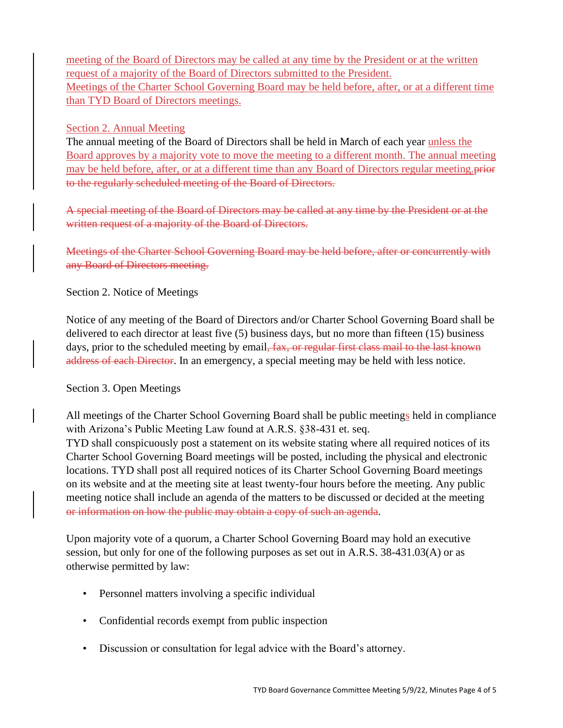meeting of the Board of Directors may be called at any time by the President or at the written request of a majority of the Board of Directors submitted to the President. Meetings of the Charter School Governing Board may be held before, after, or at a different time than TYD Board of Directors meetings.

#### Section 2. Annual Meeting

The annual meeting of the Board of Directors shall be held in March of each year unless the Board approves by a majority vote to move the meeting to a different month. The annual meeting may be held before, after, or at a different time than any Board of Directors regular meeting. to the regularly scheduled meeting of the Board of Directors.

A special meeting of the Board of Directors may be called at any time by the President or at the written request of a majority of the Board of Directors.

Meetings of the Charter School Governing Board may be held before, after or concurrently with any Board of Directors meeting.

Section 2. Notice of Meetings

Notice of any meeting of the Board of Directors and/or Charter School Governing Board shall be delivered to each director at least five (5) business days, but no more than fifteen (15) business days, prior to the scheduled meeting by email, fax, or regular first class mail to the last known address of each Director. In an emergency, a special meeting may be held with less notice.

#### Section 3. Open Meetings

All meetings of the Charter School Governing Board shall be public meetings held in compliance with Arizona's Public Meeting Law found at A.R.S. §38-431 et. seq.

TYD shall conspicuously post a statement on its website stating where all required notices of its Charter School Governing Board meetings will be posted, including the physical and electronic locations. TYD shall post all required notices of its Charter School Governing Board meetings on its website and at the meeting site at least twenty-four hours before the meeting. Any public meeting notice shall include an agenda of the matters to be discussed or decided at the meeting or information on how the public may obtain a copy of such an agenda.

Upon majority vote of a quorum, a Charter School Governing Board may hold an executive session, but only for one of the following purposes as set out in A.R.S. 38-431.03(A) or as otherwise permitted by law:

- Personnel matters involving a specific individual
- Confidential records exempt from public inspection
- Discussion or consultation for legal advice with the Board's attorney.